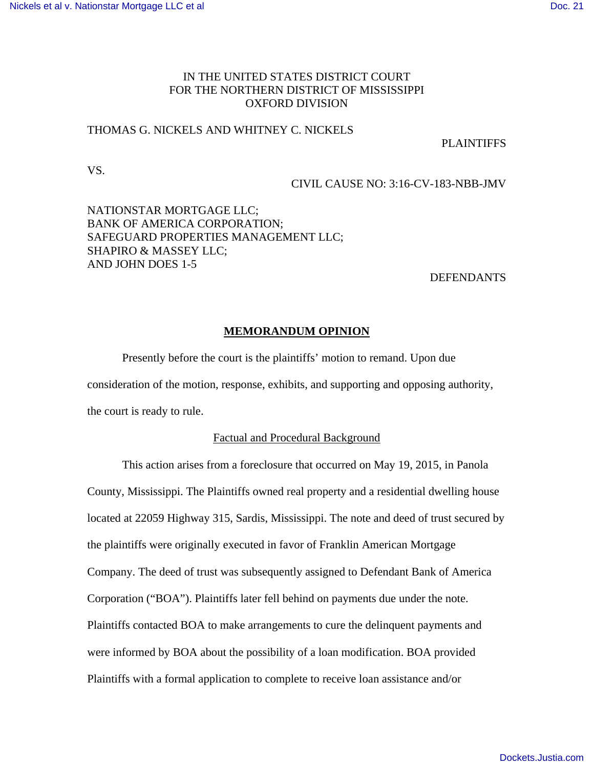# IN THE UNITED STATES DISTRICT COURT FOR THE NORTHERN DISTRICT OF MISSISSIPPI OXFORD DIVISION

## THOMAS G. NICKELS AND WHITNEY C. NICKELS

**PLAINTIFFS** 

VS.

## CIVIL CAUSE NO: 3:16-CV-183-NBB-JMV

# NATIONSTAR MORTGAGE LLC; BANK OF AMERICA CORPORATION; SAFEGUARD PROPERTIES MANAGEMENT LLC; SHAPIRO & MASSEY LLC; AND JOHN DOES 1-5

## **DEFENDANTS**

### **MEMORANDUM OPINION**

Presently before the court is the plaintiffs' motion to remand. Upon due consideration of the motion, response, exhibits, and supporting and opposing authority, the court is ready to rule.

### Factual and Procedural Background

This action arises from a foreclosure that occurred on May 19, 2015, in Panola County, Mississippi. The Plaintiffs owned real property and a residential dwelling house located at 22059 Highway 315, Sardis, Mississippi. The note and deed of trust secured by the plaintiffs were originally executed in favor of Franklin American Mortgage Company. The deed of trust was subsequently assigned to Defendant Bank of America Corporation ("BOA"). Plaintiffs later fell behind on payments due under the note. Plaintiffs contacted BOA to make arrangements to cure the delinquent payments and were informed by BOA about the possibility of a loan modification. BOA provided Plaintiffs with a formal application to complete to receive loan assistance and/or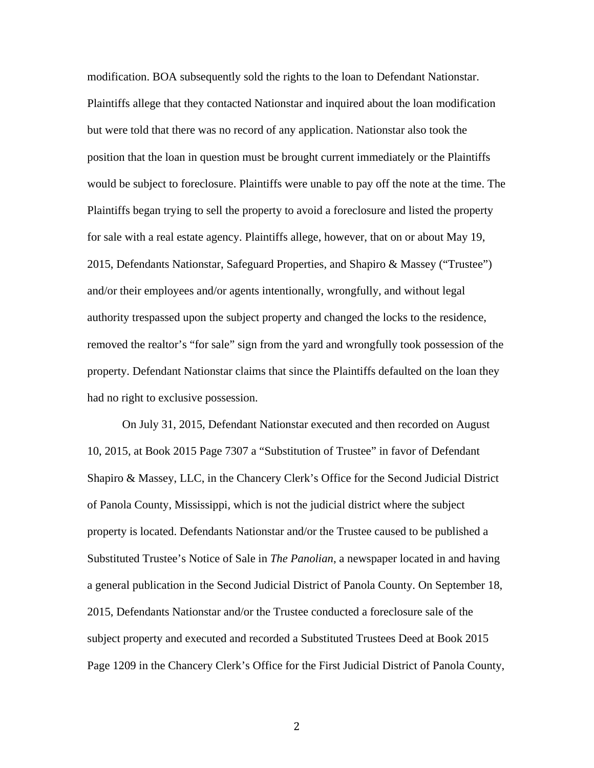modification. BOA subsequently sold the rights to the loan to Defendant Nationstar. Plaintiffs allege that they contacted Nationstar and inquired about the loan modification but were told that there was no record of any application. Nationstar also took the position that the loan in question must be brought current immediately or the Plaintiffs would be subject to foreclosure. Plaintiffs were unable to pay off the note at the time. The Plaintiffs began trying to sell the property to avoid a foreclosure and listed the property for sale with a real estate agency. Plaintiffs allege, however, that on or about May 19, 2015, Defendants Nationstar, Safeguard Properties, and Shapiro & Massey ("Trustee") and/or their employees and/or agents intentionally, wrongfully, and without legal authority trespassed upon the subject property and changed the locks to the residence, removed the realtor's "for sale" sign from the yard and wrongfully took possession of the property. Defendant Nationstar claims that since the Plaintiffs defaulted on the loan they had no right to exclusive possession.

On July 31, 2015, Defendant Nationstar executed and then recorded on August 10, 2015, at Book 2015 Page 7307 a "Substitution of Trustee" in favor of Defendant Shapiro & Massey, LLC, in the Chancery Clerk's Office for the Second Judicial District of Panola County, Mississippi, which is not the judicial district where the subject property is located. Defendants Nationstar and/or the Trustee caused to be published a Substituted Trustee's Notice of Sale in *The Panolian*, a newspaper located in and having a general publication in the Second Judicial District of Panola County. On September 18, 2015, Defendants Nationstar and/or the Trustee conducted a foreclosure sale of the subject property and executed and recorded a Substituted Trustees Deed at Book 2015 Page 1209 in the Chancery Clerk's Office for the First Judicial District of Panola County,

に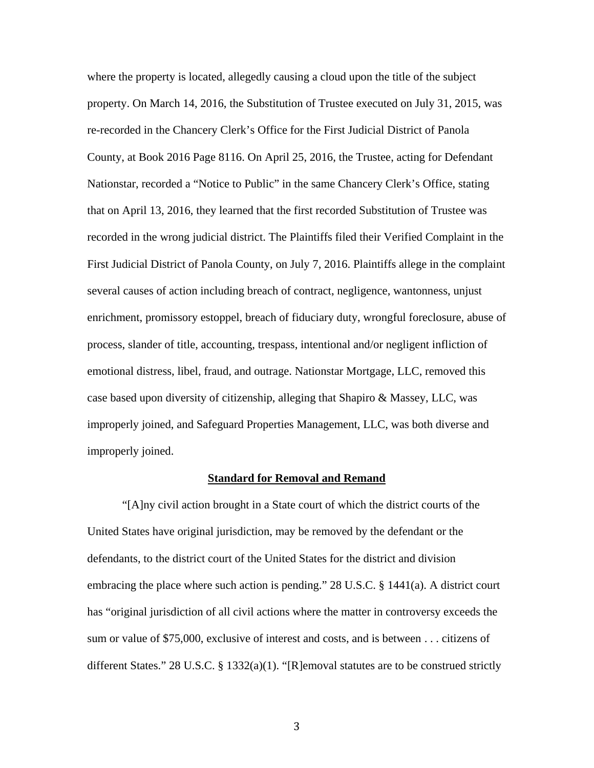where the property is located, allegedly causing a cloud upon the title of the subject property. On March 14, 2016, the Substitution of Trustee executed on July 31, 2015, was re-recorded in the Chancery Clerk's Office for the First Judicial District of Panola County, at Book 2016 Page 8116. On April 25, 2016, the Trustee, acting for Defendant Nationstar, recorded a "Notice to Public" in the same Chancery Clerk's Office, stating that on April 13, 2016, they learned that the first recorded Substitution of Trustee was recorded in the wrong judicial district. The Plaintiffs filed their Verified Complaint in the First Judicial District of Panola County, on July 7, 2016. Plaintiffs allege in the complaint several causes of action including breach of contract, negligence, wantonness, unjust enrichment, promissory estoppel, breach of fiduciary duty, wrongful foreclosure, abuse of process, slander of title, accounting, trespass, intentional and/or negligent infliction of emotional distress, libel, fraud, and outrage. Nationstar Mortgage, LLC, removed this case based upon diversity of citizenship, alleging that Shapiro & Massey, LLC, was improperly joined, and Safeguard Properties Management, LLC, was both diverse and improperly joined.

#### **Standard for Removal and Remand**

"[A]ny civil action brought in a State court of which the district courts of the United States have original jurisdiction, may be removed by the defendant or the defendants, to the district court of the United States for the district and division embracing the place where such action is pending." 28 U.S.C. § 1441(a). A district court has "original jurisdiction of all civil actions where the matter in controversy exceeds the sum or value of \$75,000, exclusive of interest and costs, and is between . . . citizens of different States." 28 U.S.C. § 1332(a)(1). "[R]emoval statutes are to be construed strictly

ぬ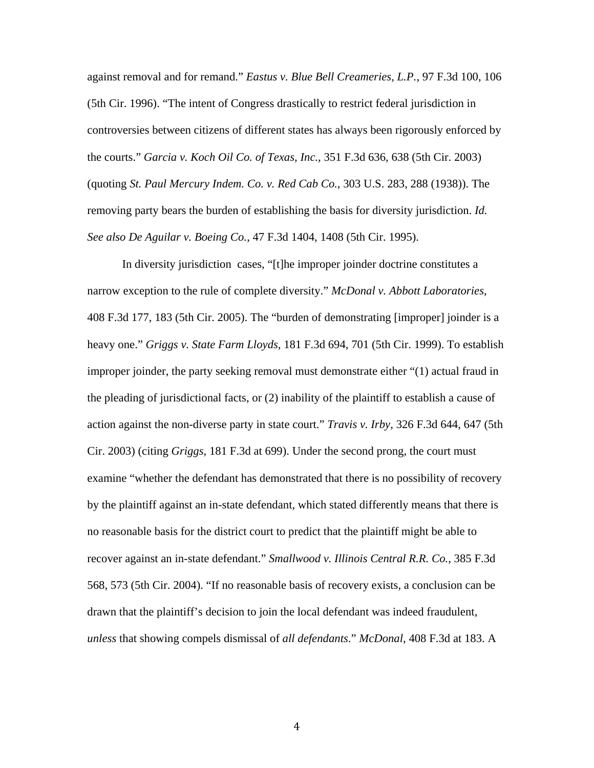against removal and for remand." *Eastus v. Blue Bell Creameries, L.P.*, 97 F.3d 100, 106 (5th Cir. 1996). "The intent of Congress drastically to restrict federal jurisdiction in controversies between citizens of different states has always been rigorously enforced by the courts." *Garcia v. Koch Oil Co. of Texas, Inc.*, 351 F.3d 636, 638 (5th Cir. 2003) (quoting *St. Paul Mercury Indem. Co. v. Red Cab Co.*, 303 U.S. 283, 288 (1938)). The removing party bears the burden of establishing the basis for diversity jurisdiction. *Id. See also De Aguilar v. Boeing Co.*, 47 F.3d 1404, 1408 (5th Cir. 1995).

In diversity jurisdiction cases, "[t]he improper joinder doctrine constitutes a narrow exception to the rule of complete diversity." *McDonal v. Abbott Laboratories*, 408 F.3d 177, 183 (5th Cir. 2005). The "burden of demonstrating [improper] joinder is a heavy one." *Griggs v. State Farm Lloyds*, 181 F.3d 694, 701 (5th Cir. 1999). To establish improper joinder, the party seeking removal must demonstrate either "(1) actual fraud in the pleading of jurisdictional facts, or (2) inability of the plaintiff to establish a cause of action against the non-diverse party in state court." *Travis v. Irby*, 326 F.3d 644, 647 (5th Cir. 2003) (citing *Griggs*, 181 F.3d at 699). Under the second prong, the court must examine "whether the defendant has demonstrated that there is no possibility of recovery by the plaintiff against an in-state defendant, which stated differently means that there is no reasonable basis for the district court to predict that the plaintiff might be able to recover against an in-state defendant." *Smallwood v. Illinois Central R.R. Co.*, 385 F.3d 568, 573 (5th Cir. 2004). "If no reasonable basis of recovery exists, a conclusion can be drawn that the plaintiff's decision to join the local defendant was indeed fraudulent, *unless* that showing compels dismissal of *all defendants*." *McDonal*, 408 F.3d at 183. A

ね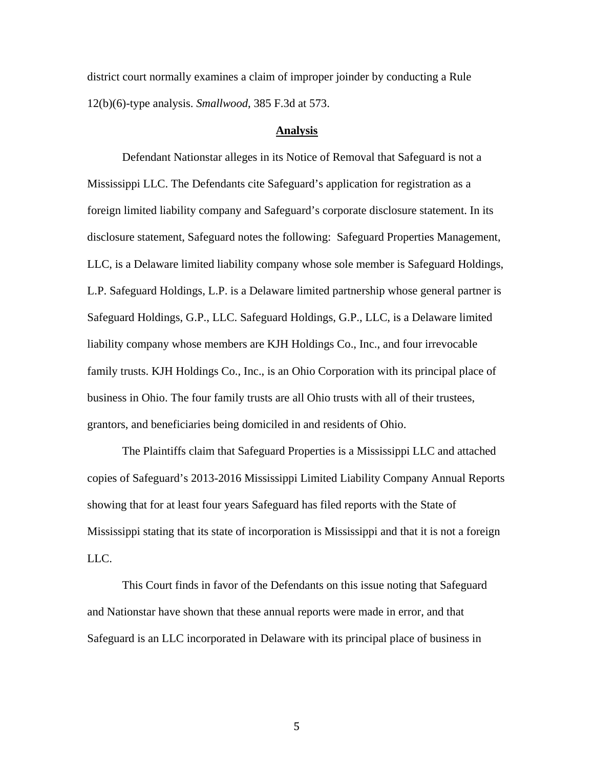district court normally examines a claim of improper joinder by conducting a Rule 12(b)(6)-type analysis. *Smallwood*, 385 F.3d at 573.

#### **Analysis**

Defendant Nationstar alleges in its Notice of Removal that Safeguard is not a Mississippi LLC. The Defendants cite Safeguard's application for registration as a foreign limited liability company and Safeguard's corporate disclosure statement. In its disclosure statement, Safeguard notes the following: Safeguard Properties Management, LLC, is a Delaware limited liability company whose sole member is Safeguard Holdings, L.P. Safeguard Holdings, L.P. is a Delaware limited partnership whose general partner is Safeguard Holdings, G.P., LLC. Safeguard Holdings, G.P., LLC, is a Delaware limited liability company whose members are KJH Holdings Co., Inc., and four irrevocable family trusts. KJH Holdings Co., Inc., is an Ohio Corporation with its principal place of business in Ohio. The four family trusts are all Ohio trusts with all of their trustees, grantors, and beneficiaries being domiciled in and residents of Ohio.

The Plaintiffs claim that Safeguard Properties is a Mississippi LLC and attached copies of Safeguard's 2013-2016 Mississippi Limited Liability Company Annual Reports showing that for at least four years Safeguard has filed reports with the State of Mississippi stating that its state of incorporation is Mississippi and that it is not a foreign LLC.

This Court finds in favor of the Defendants on this issue noting that Safeguard and Nationstar have shown that these annual reports were made in error, and that Safeguard is an LLC incorporated in Delaware with its principal place of business in

の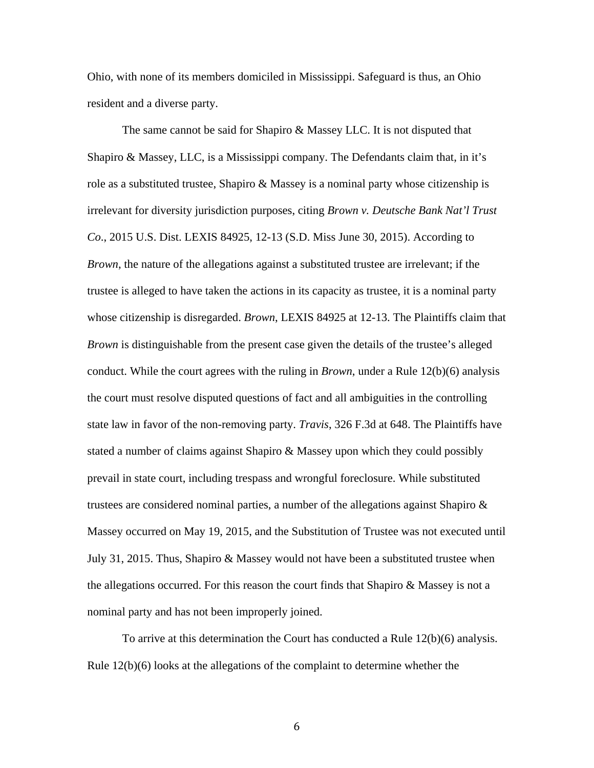Ohio, with none of its members domiciled in Mississippi. Safeguard is thus, an Ohio resident and a diverse party.

The same cannot be said for Shapiro & Massey LLC. It is not disputed that Shapiro & Massey, LLC, is a Mississippi company. The Defendants claim that, in it's role as a substituted trustee, Shapiro & Massey is a nominal party whose citizenship is irrelevant for diversity jurisdiction purposes, citing *Brown v. Deutsche Bank Nat'l Trust Co*., 2015 U.S. Dist. LEXIS 84925, 12-13 (S.D. Miss June 30, 2015). According to *Brown*, the nature of the allegations against a substituted trustee are irrelevant; if the trustee is alleged to have taken the actions in its capacity as trustee, it is a nominal party whose citizenship is disregarded. *Brown*, LEXIS 84925 at 12-13. The Plaintiffs claim that *Brown* is distinguishable from the present case given the details of the trustee's alleged conduct. While the court agrees with the ruling in *Brown*, under a Rule 12(b)(6) analysis the court must resolve disputed questions of fact and all ambiguities in the controlling state law in favor of the non-removing party. *Travis*, 326 F.3d at 648. The Plaintiffs have stated a number of claims against Shapiro & Massey upon which they could possibly prevail in state court, including trespass and wrongful foreclosure. While substituted trustees are considered nominal parties, a number of the allegations against Shapiro  $\&$ Massey occurred on May 19, 2015, and the Substitution of Trustee was not executed until July 31, 2015. Thus, Shapiro & Massey would not have been a substituted trustee when the allegations occurred. For this reason the court finds that Shapiro & Massey is not a nominal party and has not been improperly joined.

To arrive at this determination the Court has conducted a Rule 12(b)(6) analysis. Rule  $12(b)(6)$  looks at the allegations of the complaint to determine whether the

は